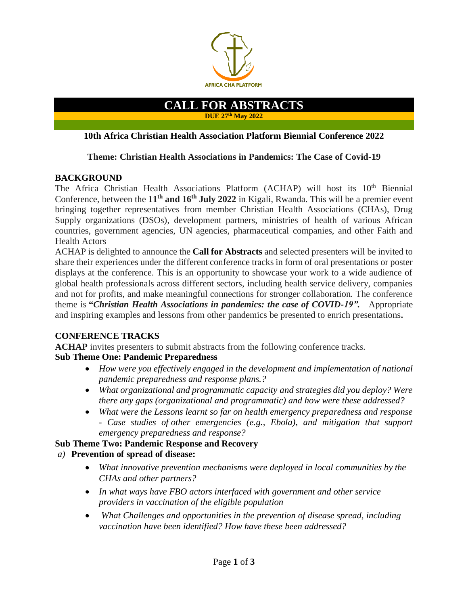

### **CALL FOR ABSTRACTS DUE 27th May 2022**

#### **10th Africa Christian Health Association Platform Biennial Conference 2022**

#### **Theme: Christian Health Associations in Pandemics: The Case of Covid-19**

#### **BACKGROUND**

The Africa Christian Health Associations Platform (ACHAP) will host its 10<sup>th</sup> Biennial Conference, between the **11th and 16 th July 2022** in Kigali, Rwanda. This will be a premier event bringing together representatives from member Christian Health Associations (CHAs), Drug Supply organizations (DSOs), development partners, ministries of health of various African countries, government agencies, UN agencies, pharmaceutical companies, and other Faith and Health Actors

ACHAP is delighted to announce the **Call for Abstracts** and selected presenters will be invited to share their experiences under the different conference tracks in form of oral presentations or poster displays at the conference. This is an opportunity to showcase your work to a wide audience of global health professionals across different sectors, including health service delivery, companies and not for profits, and make meaningful connections for stronger collaboration. The conference theme is **"***Christian Health Associations in pandemics: the case of COVID-19".* Appropriate and inspiring examples and lessons from other pandemics be presented to enrich presentations**.**

## **CONFERENCE TRACKS**

**ACHAP** invites presenters to submit abstracts from the following conference tracks.

## **Sub Theme One: Pandemic Preparedness**

- *How were you effectively engaged in the development and implementation of national pandemic preparedness and response plans.?*
- *What organizational and programmatic capacity and strategies did you deploy? Were there any gaps (organizational and programmatic) and how were these addressed?*
- *What were the Lessons learnt so far on health emergency preparedness and response - Case studies of other emergencies (e.g., Ebola), and mitigation that support emergency preparedness and response?*

## **Sub Theme Two: Pandemic Response and Recovery**

## *a)* **Prevention of spread of disease:**

- *What innovative prevention mechanisms were deployed in local communities by the CHAs and other partners?*
- *In what ways have FBO actors interfaced with government and other service providers in vaccination of the eligible population*
- *What Challenges and opportunities in the prevention of disease spread, including vaccination have been identified? How have these been addressed?*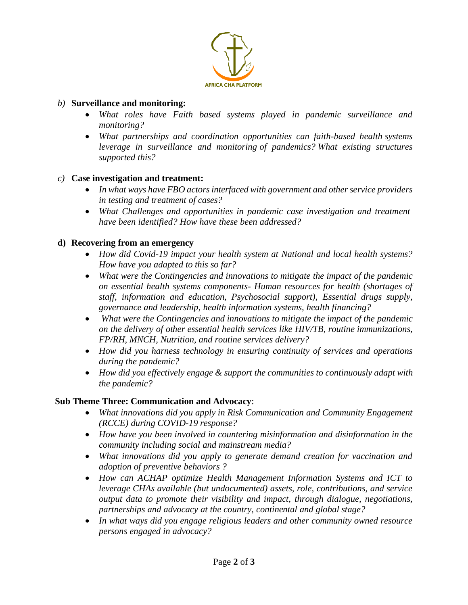

# *b)* **Surveillance and monitoring:**

- *What roles have Faith based systems played in pandemic surveillance and monitoring?*
- *What partnerships and coordination opportunities can faith-based health systems leverage in surveillance and monitoring of pandemics? What existing structures supported this?*

# *c)* **Case investigation and treatment:**

- *In what ways have FBO actors interfaced with government and other service providers in testing and treatment of cases?*
- *What Challenges and opportunities in pandemic case investigation and treatment have been identified? How have these been addressed?*

# **d) Recovering from an emergency**

- *How did Covid-19 impact your health system at National and local health systems? How have you adapted to this so far?*
- *What were the Contingencies and innovations to mitigate the impact of the pandemic on essential health systems components- Human resources for health (shortages of staff, information and education, Psychosocial support), Essential drugs supply, governance and leadership, health information systems, health financing?*
- *What were the Contingencies and innovations to mitigate the impact of the pandemic on the delivery of other essential health services like HIV/TB, routine immunizations, FP/RH, MNCH, Nutrition, and routine services delivery?*
- *How did you harness technology in ensuring continuity of services and operations during the pandemic?*
- *How did you effectively engage & support the communities to continuously adapt with the pandemic?*

## **Sub Theme Three: Communication and Advocacy**:

- *What innovations did you apply in Risk Communication and Community Engagement (RCCE) during COVID-19 response?*
- *How have you been involved in countering misinformation and disinformation in the community including social and mainstream media?*
- *What innovations did you apply to generate demand creation for vaccination and adoption of preventive behaviors ?*
- *How can ACHAP optimize Health Management Information Systems and ICT to leverage CHAs available (but undocumented) assets, role, contributions, and service output data to promote their visibility and impact, through dialogue, negotiations, partnerships and advocacy at the country, continental and global stage?*
- *In what ways did you engage religious leaders and other community owned resource persons engaged in advocacy?*